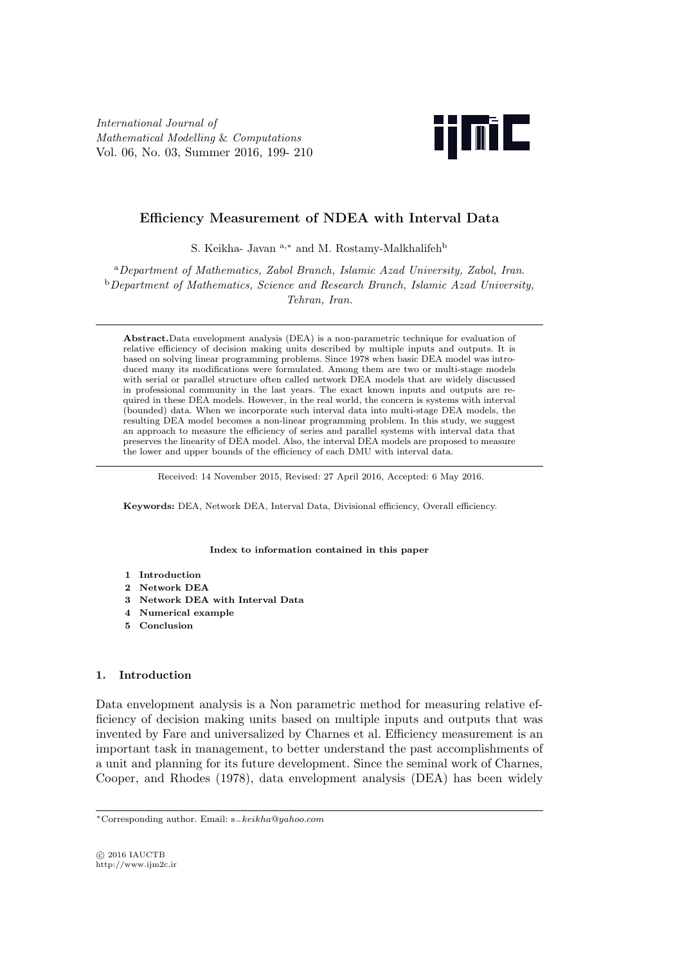*International Journal of Mathematical Modelling* & *Computations* Vol. 06, No. 03, Summer 2016, 199- 210



# **Efficiency Measurement of NDEA with Interval Data**

S. Keikha- Javan<sup>a,∗</sup> and M. Rostamy-Malkhalifeh<sup>b</sup>

<sup>a</sup>*Department of Mathematics, Zabol Branch, Islamic Azad University, Zabol, Iran*. <sup>b</sup>*Department of Mathematics, Science and Research Branch, Islamic Azad University, Tehran, Iran.*

**Abstract.**Data envelopment analysis (DEA) is a non-parametric technique for evaluation of relative efficiency of decision making units described by multiple inputs and outputs. It is based on solving linear programming problems. Since 1978 when basic DEA model was introduced many its modifications were formulated. Among them are two or multi-stage models with serial or parallel structure often called network DEA models that are widely discussed in professional community in the last years. The exact known inputs and outputs are required in these DEA models. However, in the real world, the concern is systems with interval (bounded) data. When we incorporate such interval data into multi-stage DEA models, the resulting DEA model becomes a non-linear programming problem. In this study, we suggest an approach to measure the efficiency of series and parallel systems with interval data that preserves the linearity of DEA model. Also, the interval DEA models are proposed to measure the lower and upper bounds of the efficiency of each DMU with interval data.

Received: 14 November 2015, Revised: 27 April 2016, Accepted: 6 May 2016.

**Keywords:** DEA, Network DEA, Interval Data, Divisional efficiency, Overall efficiency.

**Index to information contained in this paper**

- **1 Introduction**
- **2 Network DEA**
- **3 Network DEA with Interval Data**
- **4 Numerical example**
- **5 Conclusion**

## **1. Introduction**

Data envelopment analysis is a Non parametric method for measuring relative efficiency of decision making units based on multiple inputs and outputs that was invented by Fare and universalized by Charnes et al. Efficiency measurement is an important task in management, to better understand the past accomplishments of a unit and planning for its future development. Since the seminal work of Charnes, Cooper, and Rhodes (1978), data envelopment analysis (DEA) has been widely

*<sup>∗</sup>*Corresponding author. Email: s*−keikha*@*yahoo.com*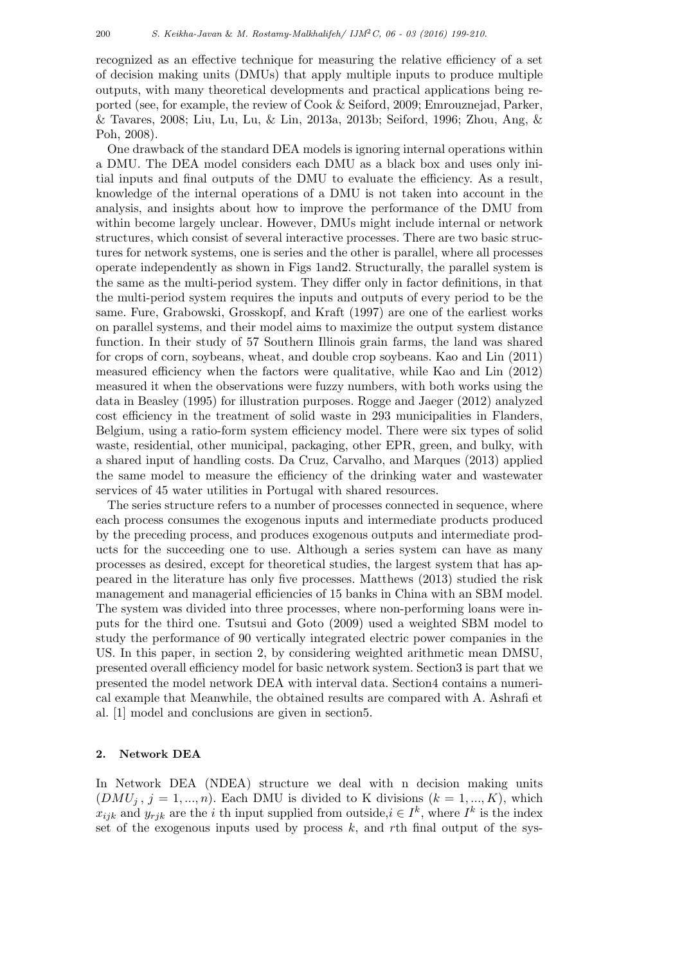recognized as an effective technique for measuring the relative efficiency of a set of decision making units (DMUs) that apply multiple inputs to produce multiple outputs, with many theoretical developments and practical applications being reported (see, for example, the review of Cook & Seiford, 2009; Emrouznejad, Parker, & Tavares, 2008; Liu, Lu, Lu, & Lin, 2013a, 2013b; Seiford, 1996; Zhou, Ang, & Poh, 2008).

One drawback of the standard DEA models is ignoring internal operations within a DMU. The DEA model considers each DMU as a black box and uses only initial inputs and final outputs of the DMU to evaluate the efficiency. As a result, knowledge of the internal operations of a DMU is not taken into account in the analysis, and insights about how to improve the performance of the DMU from within become largely unclear. However, DMUs might include internal or network structures, which consist of several interactive processes. There are two basic structures for network systems, one is series and the other is parallel, where all processes operate independently as shown in Figs 1and2. Structurally, the parallel system is the same as the multi-period system. They differ only in factor definitions, in that the multi-period system requires the inputs and outputs of every period to be the same. Fure, Grabowski, Grosskopf, and Kraft (1997) are one of the earliest works on parallel systems, and their model aims to maximize the output system distance function. In their study of 57 Southern Illinois grain farms, the land was shared for crops of corn, soybeans, wheat, and double crop soybeans. Kao and Lin (2011) measured efficiency when the factors were qualitative, while Kao and Lin (2012) measured it when the observations were fuzzy numbers, with both works using the data in Beasley (1995) for illustration purposes. Rogge and Jaeger (2012) analyzed cost efficiency in the treatment of solid waste in 293 municipalities in Flanders, Belgium, using a ratio-form system efficiency model. There were six types of solid waste, residential, other municipal, packaging, other EPR, green, and bulky, with a shared input of handling costs. Da Cruz, Carvalho, and Marques (2013) applied the same model to measure the efficiency of the drinking water and wastewater services of 45 water utilities in Portugal with shared resources.

The series structure refers to a number of processes connected in sequence, where each process consumes the exogenous inputs and intermediate products produced by the preceding process, and produces exogenous outputs and intermediate products for the succeeding one to use. Although a series system can have as many processes as desired, except for theoretical studies, the largest system that has appeared in the literature has only five processes. Matthews (2013) studied the risk management and managerial efficiencies of 15 banks in China with an SBM model. The system was divided into three processes, where non-performing loans were inputs for the third one. Tsutsui and Goto (2009) used a weighted SBM model to study the performance of 90 vertically integrated electric power companies in the US. In this paper, in section 2, by considering weighted arithmetic mean DMSU, presented overall efficiency model for basic network system. Section3 is part that we presented the model network DEA with interval data. Section4 contains a numerical example that Meanwhile, the obtained results are compared with A. Ashrafi et al. [1] model and conclusions are given in section5.

#### **2. Network DEA**

In Network DEA (NDEA) structure we deal with n decision making units  $(DMU<sub>i</sub>, j = 1, ..., n)$ . Each DMU is divided to K divisions  $(k = 1, ..., K)$ , which  $x_{ijk}$  and  $y_{rjk}$  are the *i* th input supplied from outside,  $i \in I^k$ , where  $I^k$  is the index set of the exogenous inputs used by process *k*, and *r*th final output of the sys-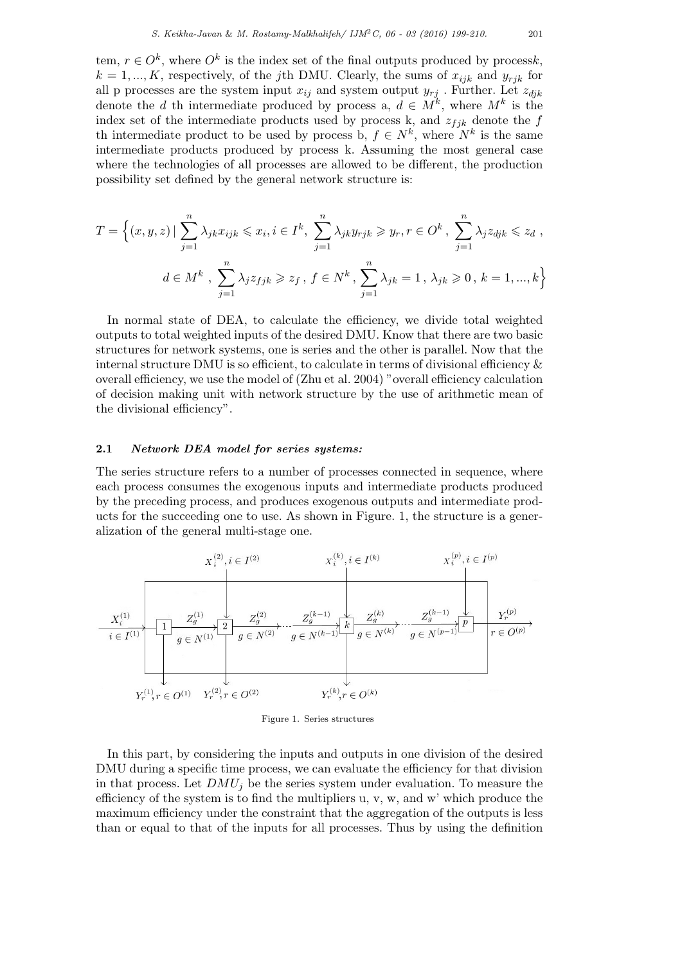tem,  $r \in O^k$ , where  $O^k$  is the index set of the final outputs produced by process*k*,  $k = 1, ..., K$ , respectively, of the *j*th DMU. Clearly, the sums of  $x_{ijk}$  and  $y_{rjk}$  for all p processes are the system input  $x_{ij}$  and system output  $y_{rj}$ . Further. Let  $z_{djk}$ denote the *d* th intermediate produced by process a,  $d \in M^k$ , where  $M^k$  is the index set of the intermediate products used by process k, and  $z_{fik}$  denote the  $f$ th intermediate product to be used by process b,  $f \in N^k$ , where  $N^k$  is the same intermediate products produced by process k. Assuming the most general case where the technologies of all processes are allowed to be different, the production possibility set defined by the general network structure is:

$$
T = \left\{ (x, y, z) \mid \sum_{j=1}^{n} \lambda_{jk} x_{ijk} \leq x_i, i \in I^k, \sum_{j=1}^{n} \lambda_{jk} y_{rjk} \geq y_r, r \in O^k, \sum_{j=1}^{n} \lambda_j z_{djk} \leq z_d , \right\}
$$
  

$$
d \in M^k, \sum_{j=1}^{n} \lambda_j z_{fjk} \geq z_f, f \in N^k, \sum_{j=1}^{n} \lambda_{jk} = 1, \lambda_{jk} \geq 0, k = 1, ..., k \right\}
$$

In normal state of DEA, to calculate the efficiency, we divide total weighted outputs to total weighted inputs of the desired DMU. Know that there are two basic structures for network systems, one is series and the other is parallel. Now that the internal structure DMU is so efficient, to calculate in terms of divisional efficiency  $\&$ overall efficiency, we use the model of (Zhu et al. 2004) "overall efficiency calculation of decision making unit with network structure by the use of arithmetic mean of the divisional efficiency".

#### **2.1** *Network DEA model for series systems:*

The series structure refers to a number of processes connected in sequence, where each process consumes the exogenous inputs and intermediate products produced by the preceding process, and produces exogenous outputs and intermediate products for the succeeding one to use. As shown in Figure. 1, the structure is a gener-



Figure 1. Series structures

In this part, by considering the inputs and outputs in one division of the desired DMU during a specific time process, we can evaluate the efficiency for that division in that process. Let  $DMU_i$  be the series system under evaluation. To measure the efficiency of the system is to find the multipliers u, v, w, and w' which produce the maximum efficiency under the constraint that the aggregation of the outputs is less than or equal to that of the inputs for all processes. Thus by using the definition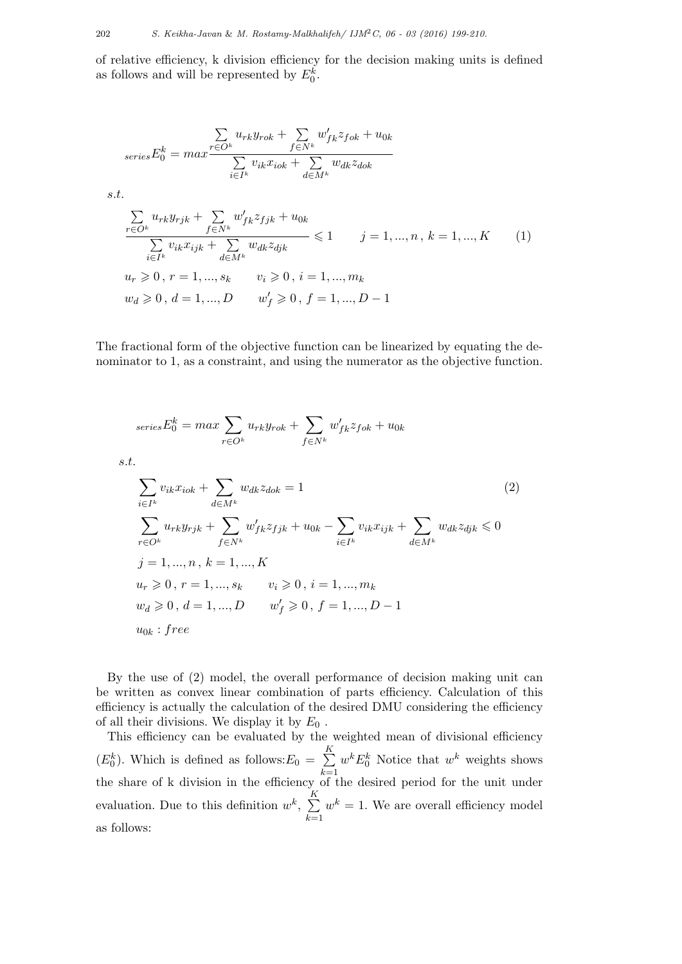of relative efficiency, k division efficiency for the decision making units is defined as follows and will be represented by  $E_0^k$ .

$$
series E_0^k = max \frac{\sum\limits_{r \in O^k} u_{rk} y_{rok} + \sum\limits_{f \in N^k} w'_{fk} z_{fok} + u_{0k}}{\sum\limits_{i \in I^k} v_{ik} x_{iok} + \sum\limits_{d \in M^k} w_{dk} z_{dok}}
$$

*s.t.*

$$
\sum_{r \in O^k} u_{rk} y_{rjk} + \sum_{f \in N^k} w'_{fk} z_{fjk} + u_{0k} \n\sum_{i \in I^k} v_{ik} x_{ijk} + \sum_{d \in M^k} w_{dk} z_{djk} \le 1 \qquad j = 1, ..., n, k = 1, ..., K \nu_r \ge 0, r = 1, ..., s_k \qquad v_i \ge 0, i = 1, ..., m_k \nw_d \ge 0, d = 1, ..., D \qquad w'_f \ge 0, f = 1, ..., D - 1
$$
\n(1)

The fractional form of the objective function can be linearized by equating the denominator to 1, as a constraint, and using the numerator as the objective function.

$$
series E_0^k = max \sum_{r \in O^k} u_{rk} y_{rok} + \sum_{f \in N^k} w'_{fk} z_{fok} + u_{0k}
$$
  
s.t.  

$$
\sum_{i \in I^k} v_{ik} x_{iok} + \sum_{d \in M^k} w_{dk} z_{dok} = 1
$$
  

$$
\sum_{r \in O^k} u_{rk} y_{rjk} + \sum_{f \in N^k} w'_{fk} z_{fjk} + u_{0k} - \sum_{i \in I^k} v_{ik} x_{ijk} + \sum_{d \in M^k} w_{dk} z_{djk} \le 0
$$
  

$$
j = 1, ..., n, k = 1, ..., K
$$
  

$$
u_r \ge 0, r = 1, ..., s_k \qquad v_i \ge 0, i = 1, ..., m_k
$$
  

$$
w_d \ge 0, d = 1, ..., D \qquad w'_f \ge 0, f = 1, ..., D - 1
$$
  

$$
u_{0k} : free
$$
 (2)

By the use of (2) model, the overall performance of decision making unit can be written as convex linear combination of parts efficiency. Calculation of this efficiency is actually the calculation of the desired DMU considering the efficiency of all their divisions. We display it by *E*<sup>0</sup> .

This efficiency can be evaluated by the weighted mean of divisional efficiency  $(E_0^k)$ . Which is defined as follows: $E_0 = \sum_{k=1}^{K}$ *k*=1  $w^k E_0^k$  Notice that  $w^k$  weights shows the share of k division in the efficiency of the desired period for the unit under evaluation. Due to this definition  $w^k$ ,  $\sum_{k=1}^{K}$ *k*=1  $w^k = 1$ . We are overall efficiency model as follows: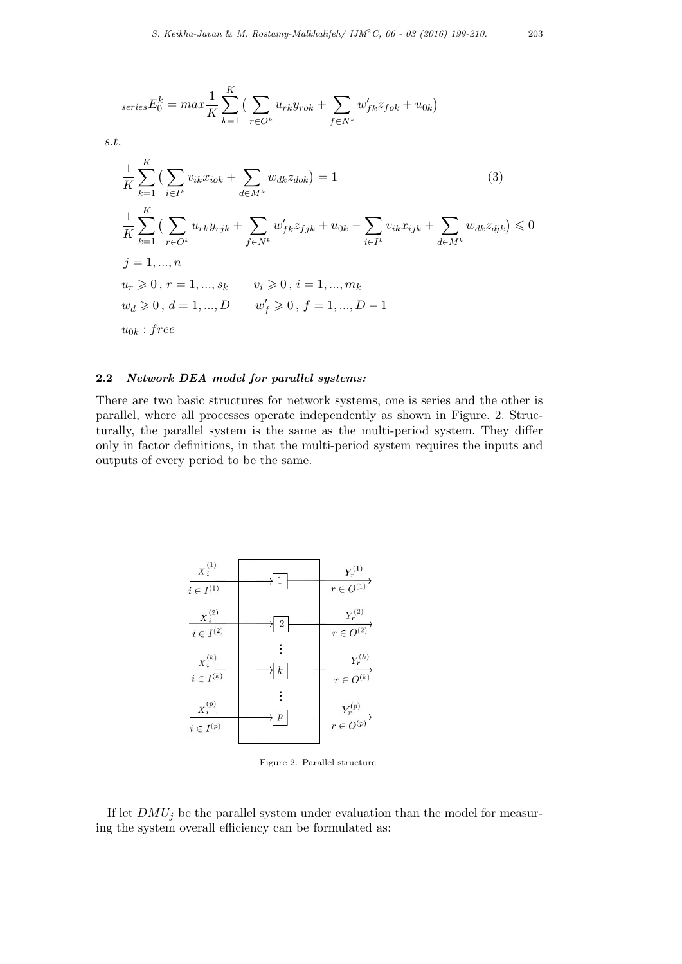$$
series E_0^k = max \frac{1}{K} \sum_{k=1}^K \left( \sum_{r \in O^k} u_{rk} y_{rok} + \sum_{f \in N^k} w'_{fk} z_{fok} + u_{0k} \right)
$$
  
s.t.  

$$
\frac{1}{K} \sum_{k=1}^K \left( \sum_{i \in I^k} v_{ik} x_{iok} + \sum_{d \in M^k} w_{dk} z_{dok} \right) = 1
$$
(3)  

$$
\frac{1}{K} \sum_{k=1}^K \left( \sum_{r \in O^k} u_{rk} y_{rjk} + \sum_{f \in N^k} w'_{fk} z_{fjk} + u_{0k} - \sum_{i \in I^k} v_{ik} x_{ijk} + \sum_{d \in M^k} w_{dk} z_{djk} \right) \le 0
$$
  
 $j = 1, ..., n$   
 $u_r \ge 0, r = 1, ..., s_k$   $v_i \ge 0, i = 1, ..., m_k$   
 $w_d \ge 0, d = 1, ..., D$   $w'_f \ge 0, f = 1, ..., D - 1$   
 $u_{0k} : free$ 

## **2.2** *Network DEA model for parallel systems:*

There are two basic structures for network systems, one is series and the other is parallel, where all processes operate independently as shown in Figure. 2. Structurally, the parallel system is the same as the multi-period system. They differ only in factor definitions, in that the multi-period system requires the inputs and outputs of every period to be the same.



Figure 2. Parallel structure

If let  $DMU_j$  be the parallel system under evaluation than the model for measuring the system overall efficiency can be formulated as: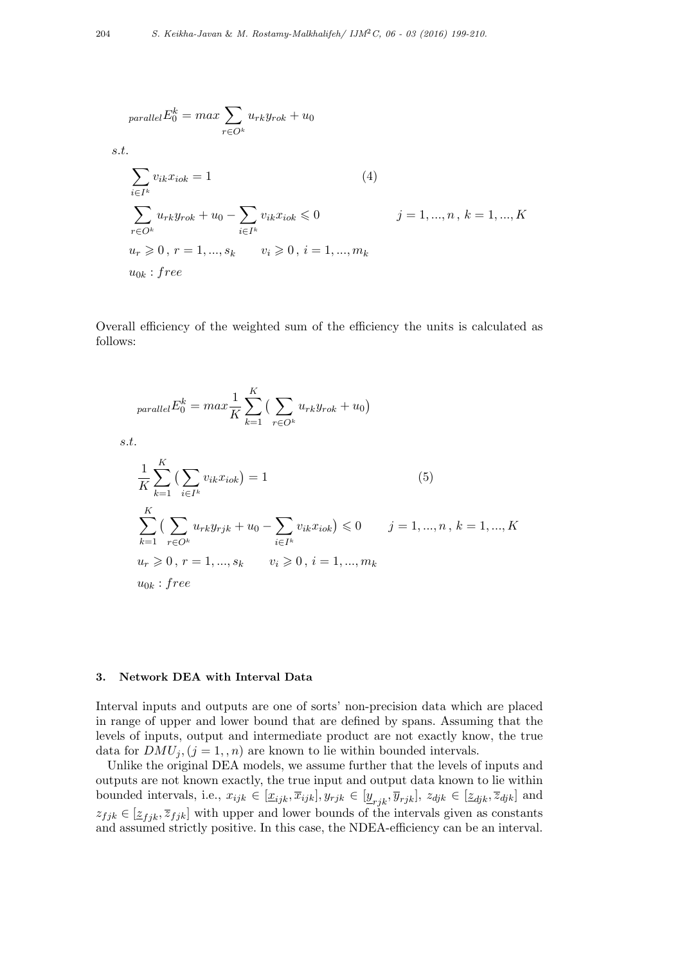$$
parallel E_0^k = max \sum_{r \in O^k} u_{rk} y_{rok} + u_0
$$
  
s.t.  

$$
\sum_{i \in I^k} v_{ik} x_{iok} = 1
$$
  

$$
\sum_{r \in O^k} u_{rk} y_{rok} + u_0 - \sum_{i \in I^k} v_{ik} x_{iok} \le 0
$$
  

$$
u_r \ge 0, r = 1, ..., s_k \qquad v_i \ge 0, i = 1, ..., m_k
$$
  

$$
u_{0k} : free
$$
 (4)

Overall efficiency of the weighted sum of the efficiency the units is calculated as follows:

$$
parallel E_0^k = max \frac{1}{K} \sum_{k=1}^K \left( \sum_{r \in O^k} u_{rk} y_{rok} + u_0 \right)
$$

*s.t.*

$$
\frac{1}{K} \sum_{k=1}^{K} \left( \sum_{i \in I^k} v_{ik} x_{iok} \right) = 1
$$
\n
$$
\sum_{k=1}^{K} \left( \sum_{r \in O^k} u_{rk} y_{rjk} + u_0 - \sum_{i \in I^k} v_{ik} x_{iok} \right) \leq 0 \qquad j = 1, ..., n, k = 1, ..., K
$$
\n
$$
u_r \geq 0, r = 1, ..., s_k \qquad v_i \geq 0, i = 1, ..., m_k
$$
\n
$$
u_{0k} : free
$$
\n(5)

#### **3. Network DEA with Interval Data**

Interval inputs and outputs are one of sorts' non-precision data which are placed in range of upper and lower bound that are defined by spans. Assuming that the levels of inputs, output and intermediate product are not exactly know, the true data for  $DMU_j$ ,  $(j = 1, n)$  are known to lie within bounded intervals.

Unlike the original DEA models, we assume further that the levels of inputs and outputs are not known exactly, the true input and output data known to lie within bounded intervals, i.e.,  $x_{ijk} \in [\underline{x}_{ijk}, \overline{x}_{ijk}], y_{rjk} \in [\underline{y}_{rjk}, \overline{y}_{rjk}], z_{djk} \in [\underline{z}_{djk}, \overline{z}_{djk}]$  and  $z_{fjk} \in [\underline{z}_{fjk}, \overline{z}_{fjk}]$  with upper and lower bounds of the intervals given as constants and assumed strictly positive. In this case, the NDEA-efficiency can be an interval.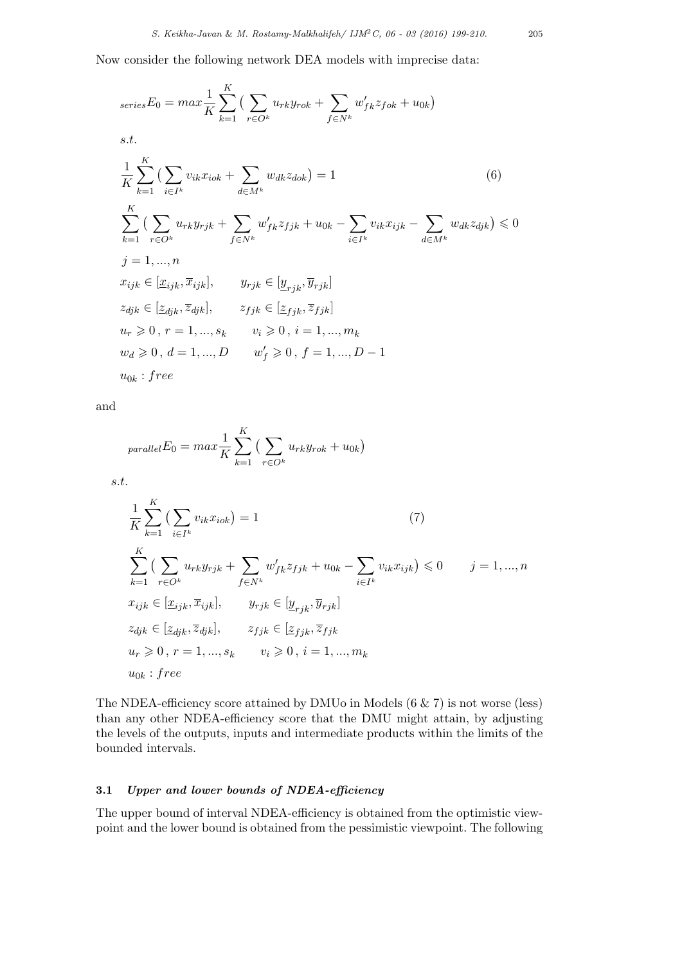Now consider the following network DEA models with imprecise data:

$$
seriesE_0 = max \frac{1}{K} \sum_{k=1}^{K} \left( \sum_{r \in O^k} u_{rk} y_{rok} + \sum_{f \in N^k} w'_{fk} z_{fok} + u_{0k} \right)
$$
  
s.t.  

$$
\frac{1}{K} \sum_{k=1}^{K} \left( \sum_{i \in I^k} v_{ik} x_{iok} + \sum_{d \in M^k} w_{dk} z_{dok} \right) = 1
$$
(6)  

$$
\sum_{k=1}^{K} \left( \sum_{r \in O^k} u_{rk} y_{rjk} + \sum_{f \in N^k} w'_{fk} z_{fjk} + u_{0k} - \sum_{i \in I^k} v_{ik} x_{ijk} - \sum_{d \in M^k} w_{dk} z_{djk} \right) \le 0
$$
  

$$
j = 1, ..., n
$$
  

$$
x_{ijk} \in [\underline{x}_{ijk}, \overline{x}_{ijk}], \qquad y_{rjk} \in [\underline{y}_{rjk}, \overline{y}_{rjk}]
$$
  

$$
z_{djk} \in [\underline{z}_{djk}, \overline{z}_{djk}], \qquad z_{fjk} \in [\underline{z}_{fjk}, \overline{z}_{fjk}]
$$
  

$$
u_r \ge 0, r = 1, ..., s_k \qquad v_i \ge 0, i = 1, ..., m_k
$$
  

$$
w_d \ge 0, d = 1, ..., D \qquad w'_f \ge 0, f = 1, ..., D - 1
$$
  

$$
u_{0k}: free
$$

and

$$
parallel E_0 = max \frac{1}{K} \sum_{k=1}^{K} \left( \sum_{r \in O^k} u_{rk} y_{rok} + u_{0k} \right)
$$

*s.t.*

$$
\frac{1}{K} \sum_{k=1}^{K} \left( \sum_{i \in I^k} v_{ik} x_{iok} \right) = 1
$$
\n
$$
\sum_{k=1}^{K} \left( \sum_{r \in O^k} u_{rk} y_{rjk} + \sum_{f \in N^k} w'_{fk} z_{fjk} + u_{0k} - \sum_{i \in I^k} v_{ik} x_{ijk} \right) \leq 0 \qquad j = 1, ..., n
$$
\n
$$
x_{ijk} \in [\underline{x}_{ijk}, \overline{x}_{ijk}], \qquad y_{rjk} \in [\underline{y}_{rjk}, \overline{y}_{rjk}]
$$
\n
$$
z_{djk} \in [\underline{z}_{djk}, \overline{z}_{djk}], \qquad z_{fjk} \in [\underline{z}_{fjk}, \overline{z}_{fjk}]
$$
\n
$$
u_r \geq 0, r = 1, ..., s_k \qquad v_i \geq 0, i = 1, ..., m_k
$$
\n
$$
u_{0k}: free
$$
\n(1)

The NDEA-efficiency score attained by DMUo in Models (6 & 7) is not worse (less) than any other NDEA-efficiency score that the DMU might attain, by adjusting the levels of the outputs, inputs and intermediate products within the limits of the bounded intervals.

# **3.1** *Upper and lower bounds of NDEA-efficiency*

The upper bound of interval NDEA-efficiency is obtained from the optimistic viewpoint and the lower bound is obtained from the pessimistic viewpoint. The following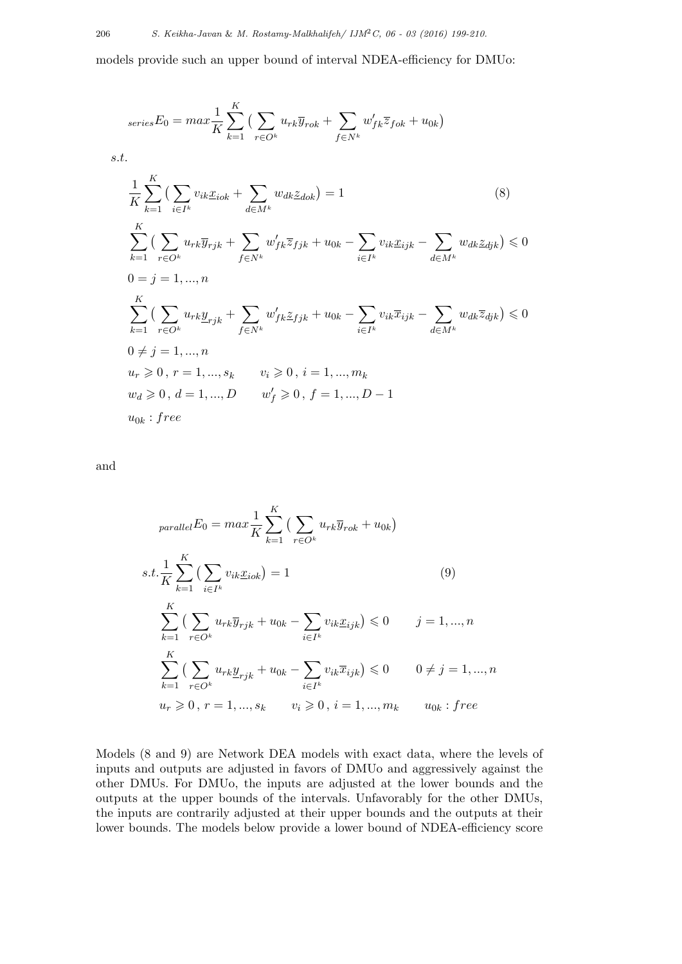models provide such an upper bound of interval NDEA-efficiency for DMUo:

$$
seriesE_0 = max \frac{1}{K} \sum_{k=1}^{K} \left( \sum_{r \in O^k} u_{rk} \overline{y}_{rok} + \sum_{f \in N^k} w'_{fk} \overline{z}_{fok} + u_{0k} \right)
$$
  
s.t.  

$$
\frac{1}{K} \sum_{k=1}^{K} \left( \sum_{i \in I^k} v_{ik} \underline{x}_{iok} + \sum_{d \in M^k} w_{dk} \underline{z}_{dok} \right) = 1
$$
(8)  

$$
\sum_{k=1}^{K} \left( \sum_{r \in O^k} u_{rk} \overline{y}_{rjk} + \sum_{f \in N^k} w'_{fk} \overline{z}_{fjk} + u_{0k} - \sum_{i \in I^k} v_{ik} \underline{x}_{ijk} - \sum_{d \in M^k} w_{dk} \underline{z}_{djk} \right) \le 0
$$
  

$$
0 = j = 1, ..., n
$$
  

$$
\sum_{k=1}^{K} \left( \sum_{r \in O^k} u_{rk} \underline{y}_{rjk} + \sum_{f \in N^k} w'_{fk} \underline{z}_{fjk} + u_{0k} - \sum_{i \in I^k} v_{ik} \overline{x}_{ijk} - \sum_{d \in M^k} w_{dk} \overline{z}_{djk} \right) \le 0
$$
  

$$
0 \neq j = 1, ..., n
$$
  

$$
u_r \ge 0, r = 1, ..., s_k
$$
  

$$
w_d \ge 0, d = 1, ..., D
$$
  

$$
w'_f \ge 0, f = 1, ..., D - 1
$$
  

$$
u_{0k} : free
$$

and

$$
parallel E_0 = max \frac{1}{K} \sum_{k=1}^{K} \left( \sum_{r \in O^k} u_{rk} \overline{y}_{rok} + u_{0k} \right)
$$
  
\n
$$
s.t. \frac{1}{K} \sum_{k=1}^{K} \left( \sum_{i \in I^k} v_{ik} \underline{x}_{iok} \right) = 1
$$
  
\n
$$
\sum_{k=1}^{K} \left( \sum_{r \in O^k} u_{rk} \overline{y}_{rjk} + u_{0k} - \sum_{i \in I^k} v_{ik} \underline{x}_{ijk} \right) \leq 0 \qquad j = 1, ..., n
$$
  
\n
$$
\sum_{k=1}^{K} \left( \sum_{r \in O^k} u_{rk} \underline{y}_{rjk} + u_{0k} - \sum_{i \in I^k} v_{ik} \overline{x}_{ijk} \right) \leq 0 \qquad 0 \neq j = 1, ..., n
$$
  
\n
$$
u_r \geq 0, r = 1, ..., s_k \qquad v_i \geq 0, i = 1, ..., m_k \qquad u_{0k} : free
$$

Models (8 and 9) are Network DEA models with exact data, where the levels of inputs and outputs are adjusted in favors of DMUo and aggressively against the other DMUs. For DMUo, the inputs are adjusted at the lower bounds and the outputs at the upper bounds of the intervals. Unfavorably for the other DMUs, the inputs are contrarily adjusted at their upper bounds and the outputs at their lower bounds. The models below provide a lower bound of NDEA-efficiency score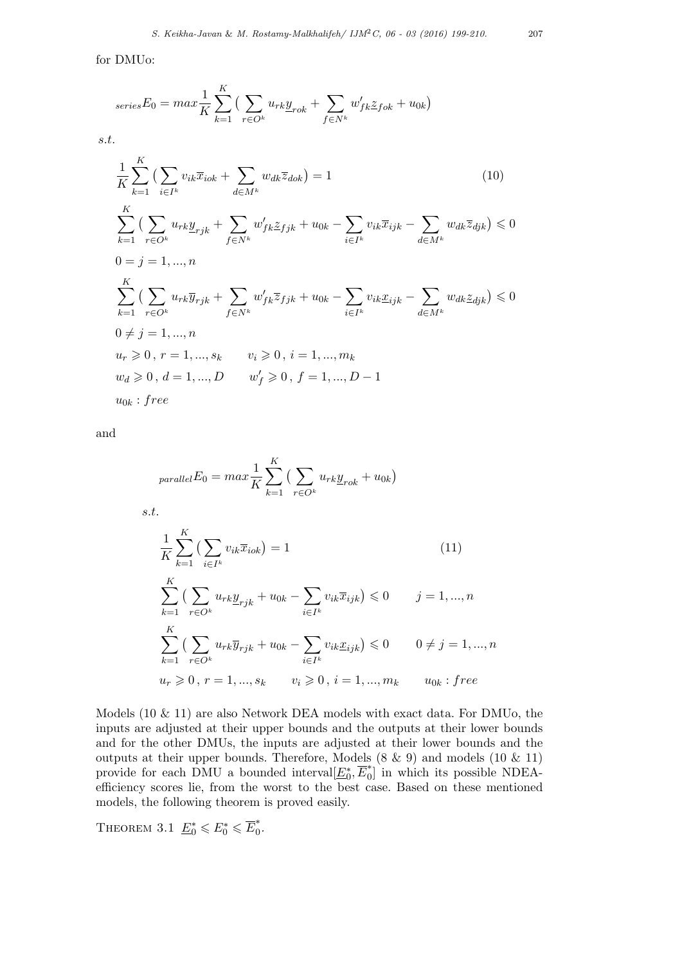for DMUo:

$$
series E_0 = max \frac{1}{K} \sum_{k=1}^{K} \left( \sum_{r \in O^k} u_{rk} \underline{y}_{rok} + \sum_{f \in N^k} w'_{fk} \underline{z}_{fok} + u_{0k} \right)
$$

*s.t.*

$$
\frac{1}{K} \sum_{k=1}^{K} \left( \sum_{i \in I^k} v_{ik} \overline{x}_{iok} + \sum_{d \in M^k} w_{dk} \overline{z}_{dok} \right) = 1
$$
\n
$$
\sum_{k=1}^{K} \left( \sum_{r \in O^k} u_{rk} \underline{y}_{rjk} + \sum_{f \in N^k} w'_{fk} \underline{z}_{fjk} + u_{0k} - \sum_{i \in I^k} v_{ik} \overline{x}_{ijk} - \sum_{d \in M^k} w_{dk} \overline{z}_{djk} \right) \leq 0
$$
\n
$$
0 = j = 1, ..., n
$$
\n
$$
\sum_{k=1}^{K} \left( \sum_{r \in O^k} u_{rk} \overline{y}_{rjk} + \sum_{f \in N^k} w'_{fk} \overline{z}_{fjk} + u_{0k} - \sum_{i \in I^k} v_{ik} \underline{x}_{ijk} - \sum_{d \in M^k} w_{dk} \underline{z}_{djk} \right) \leq 0
$$
\n
$$
0 \neq j = 1, ..., n
$$
\n
$$
u_r \geq 0, r = 1, ..., s_k \qquad v_i \geq 0, i = 1, ..., m_k
$$
\n
$$
w_d \geq 0, d = 1, ..., D \qquad w'_f \geq 0, f = 1, ..., D - 1
$$
\n
$$
u_{0k} : free
$$
\n(10)

and

$$
parallel E_0 = max \frac{1}{K} \sum_{k=1}^{K} \left( \sum_{r \in O^k} u_{rk} \underline{y}_{rok} + u_{0k} \right)
$$

*s.t.*

$$
\frac{1}{K} \sum_{k=1}^{K} \left( \sum_{i \in I^k} v_{ik} \overline{x}_{iok} \right) = 1
$$
\n
$$
\sum_{k=1}^{K} \left( \sum_{r \in O^k} u_{rk} \underline{y}_{rjk} + u_{0k} - \sum_{i \in I^k} v_{ik} \overline{x}_{ijk} \right) \leq 0 \qquad j = 1, ..., n
$$
\n
$$
\sum_{k=1}^{K} \left( \sum_{r \in O^k} u_{rk} \overline{y}_{rjk} + u_{0k} - \sum_{i \in I^k} v_{ik} \underline{x}_{ijk} \right) \leq 0 \qquad 0 \neq j = 1, ..., n
$$
\n
$$
u_r \geq 0, r = 1, ..., s_k \qquad v_i \geq 0, i = 1, ..., m_k \qquad u_{0k} : free
$$
\n(11)

Models (10 & 11) are also Network DEA models with exact data. For DMUo, the inputs are adjusted at their upper bounds and the outputs at their lower bounds and for the other DMUs, the inputs are adjusted at their lower bounds and the outputs at their upper bounds. Therefore, Models (8 & 9) and models (10 & 11) provide for each DMU a bounded interval $[\underline{E}_0^*, \overline{E}_0^*]$  in which its possible NDEAefficiency scores lie, from the worst to the best case. Based on these mentioned models, the following theorem is proved easily.

THEOREM 3.1  $\underline{E}_0^* \leq E_0^* \leq \overline{E}_0^*$ .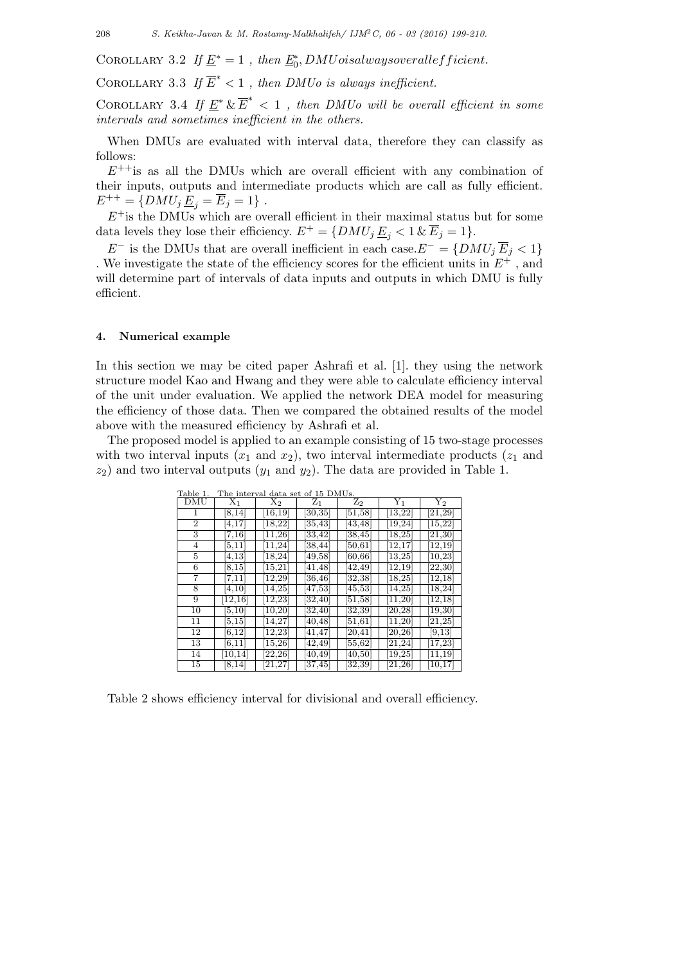COROLLARY 3.2 *If*  $\underline{E}^* = 1$ , then  $\underline{E}^*_0$ , *DMU* oisalwaysoverallef ficient.

COROLLARY 3.3 If  $\overline{E}^* < 1$ , then DMU<sub>0</sub> is always inefficient.

COROLLARY 3.4 If  $\underline{E}^* \& \overline{E}^* < 1$ , then DMU<sub>o</sub> will be overall efficient in some *intervals and sometimes inefficient in the others.*

When DMUs are evaluated with interval data, therefore they can classify as follows:

 $E^{++}$  is as all the DMUs which are overall efficient with any combination of their inputs, outputs and intermediate products which are call as fully efficient.  $E^{++} = \{DMU_j E_j = \overline{E}_j = 1\}$ .

 $E^+$  is the DMUs which are overall efficient in their maximal status but for some data levels they lose their efficiency.  $E^+ = \{DMU_j \underline{E}_j < 1 \& \overline{E}_j = 1\}.$ 

*E*<sup>−</sup> is the DMUs that are overall inefficient in each case.  $E^- = \{DMU_i \overline{E}_i < 1\}$ . We investigate the state of the efficiency scores for the efficient units in *E*<sup>+</sup> , and will determine part of intervals of data inputs and outputs in which DMU is fully efficient.

### **4. Numerical example**

In this section we may be cited paper Ashrafi et al. [1]. they using the network structure model Kao and Hwang and they were able to calculate efficiency interval of the unit under evaluation. We applied the network DEA model for measuring the efficiency of those data. Then we compared the obtained results of the model above with the measured efficiency by Ashrafi et al.

The proposed model is applied to an example consisting of 15 two-stage processes with two interval inputs  $(x_1 \text{ and } x_2)$ , two interval intermediate products  $(z_1 \text{ and } z_2)$ *z*2) and two interval outputs (*y*<sup>1</sup> and *y*2). The data are provided in Table 1.

| DMU            | $X_1$  | $\overline{\mathrm{X}}_2$ | $Z_1$  | $\mathrm{Z}_2$ | Y1                   | ${\rm Y_2}$ |
|----------------|--------|---------------------------|--------|----------------|----------------------|-------------|
|                | 8,14   | [16, 19]                  | 30,35  | 51,58          | 13,22                | [21, 29]    |
| $\overline{2}$ | 4.17   | [18, 22]                  | 35,43  | 43,48          | 19,24                | 15,22       |
| 3              | 7,16   | [11, 26]                  | 33,42  | 38,45          | 18,25                | 21,30       |
| 4              | 5,11   | [11, 24]                  | 38,44  | [50, 61]       | 12,17                | [12, 19]    |
| 5              | 4,13   | [18, 24]                  | 49,58  | 60,66          | $\left[13,25\right]$ | [10, 23]    |
| 6              | [8,15] | [15, 21]                  | 41,48  | 42,49          | [12,19]              | 22,30       |
| 7              | 7,11   | [12, 29]                  | 36,46  | 32,38          | [18, 25]             | 12,18       |
| 8              | 4,10   | 14,25                     | 47,53  | 45,53          | 14,25                | 18,24       |
| 9              | 12,16  | [12, 23]                  | 32,40  | 51,58          | [11,20]              | 12,18       |
| 10             | 5,10   | [10, 20]                  | 32,40  | 32,39          | [20, 28]             | [19, 30]    |
| 11             | 5,15   | 14,27                     | 40,48  | 51,61          | 11,20                | [21, 25]    |
| 12             | 6,12   | [12, 23]                  | 41,47  | 20,41          | 20,26                | [9, 13]     |
| 13             | 6,11   | 15,26                     | 42, 49 | 55,62          | 21,24                | 17,23       |
| 14             | 10,14  | 22,26                     | 40,49  | 40,50          | 19,25                | 11,19       |
| 15             | 8.14   | 21,27                     | 37,45  | 32,39          | 21,26                | 10,17       |

Table 1. The interval data set of 15 DMUs.

Table 2 shows efficiency interval for divisional and overall efficiency.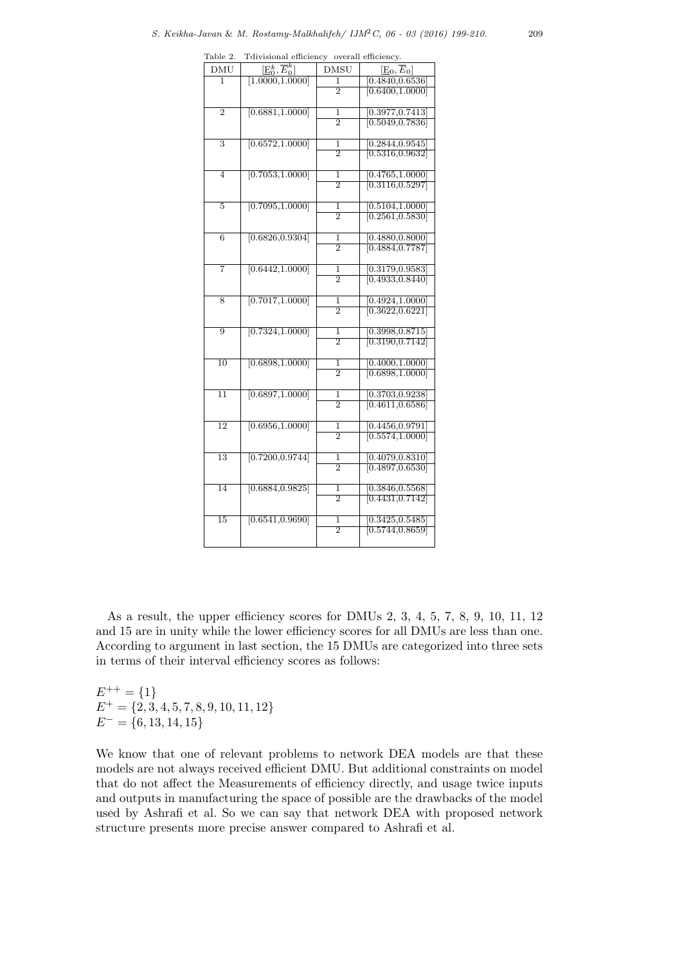| <b>DMU</b>                | $[\underline{\mathrm{E}}_{0}^{k},\overline{E}_{0}^{k}]$ | <b>DMSU</b>    | $[\underline{\mathrm{E}}_0,\overline{\mathrm{E}}_0]$ |
|---------------------------|---------------------------------------------------------|----------------|------------------------------------------------------|
| 1                         | [1.0000, 1.0000]                                        | 1              | [0.4840, 0.6536]                                     |
|                           |                                                         | $\overline{2}$ | [0.6400, 1.0000]                                     |
| $\overline{2}$            | [0.6881, 1.0000]                                        | 1              | [0.3977, 0.7413]                                     |
|                           |                                                         | $\overline{2}$ | [0.5049, 0.7836]                                     |
| $\overline{\overline{3}}$ | [0.6572, 1.0000]                                        | 1              | [0.2844, 0.9545]                                     |
|                           |                                                         | 2              | [0.5316, 0.9632]                                     |
| 4                         | [0.7053, 1.0000]                                        | 1              | [0.4765, 1.0000]                                     |
|                           |                                                         | 2              | [0.3116, 0.5297]                                     |
| 5                         | [0.7095, 1.0000]                                        | 1              | [0.5104, 1.0000]                                     |
|                           |                                                         | $\overline{2}$ | [0.2561, 0.5830]                                     |
| 6                         | [0.6826, 0.9304]                                        | 1              | [0.4880, 0.8000]                                     |
|                           |                                                         | $\overline{2}$ | [0.4884, 0.7787]                                     |
| $\overline{7}$            | [0.6442, 1.0000]                                        | 1              | [0.3179, 0.9583]                                     |
|                           |                                                         | $\overline{2}$ | [0.4933, 0.8440]                                     |
| 8                         | [0.7017, 1.0000]                                        | 1              | [0.4924, 1.0000]                                     |
|                           |                                                         | $\overline{2}$ | [0.3622, 0.6221]                                     |
| 9                         | [0.7324, 1.0000]                                        | 1              | [0.3998.0.8715]                                      |
|                           |                                                         | $\overline{2}$ | [0.3190, 0.7142]                                     |
| 10                        | [0.6898, 1.0000]                                        | 1              | [0.4000, 1.0000]                                     |
|                           |                                                         | $\overline{2}$ | [0.6898, 1.0000]                                     |
| 11                        | [0.6897, 1.0000]                                        | 1              | [0.3703, 0.9238]                                     |
|                           |                                                         | $\overline{2}$ | [0.4611, 0.6586]                                     |
| $\overline{12}$           | [0.6956, 1.0000]                                        | 1              | [0.4456, 0.9791]                                     |
|                           |                                                         | $\overline{2}$ | [0.5574, 1.0000]                                     |
| 13                        | [0.7200, 0.9744]                                        | 1              | [0.4079, 0.8310]                                     |
|                           |                                                         | $\overline{2}$ | [0.4897, 0.6530]                                     |
| 14                        | [0.6884, 0.9825]                                        | 1              | [0.3846, 0.5568]                                     |
|                           |                                                         | $\overline{2}$ | [0.4431, 0.7142]                                     |
| 15                        | [0.6541, 0.9690]                                        | 1              | [0.3425, 0.5485]                                     |
|                           |                                                         | 2              | [0.5744, 0.8659]                                     |

Table 2. Tdivisional efficiency overall efficiency.

As a result, the upper efficiency scores for DMUs 2, 3, 4, 5, 7, 8, 9, 10, 11, 12 and 15 are in unity while the lower efficiency scores for all DMUs are less than one. According to argument in last section, the 15 DMUs are categorized into three sets in terms of their interval efficiency scores as follows:

 $E^{++} = \{1\}$ *E*<sup>+</sup> = *{*2*,* 3*,* 4*,* 5*,* 7*,* 8*,* 9*,* 10*,* 11*,* 12*} E−* = *{*6*,* 13*,* 14*,* 15*}*

We know that one of relevant problems to network DEA models are that these models are not always received efficient DMU. But additional constraints on model that do not affect the Measurements of efficiency directly, and usage twice inputs and outputs in manufacturing the space of possible are the drawbacks of the model used by Ashrafi et al. So we can say that network DEA with proposed network structure presents more precise answer compared to Ashrafi et al.